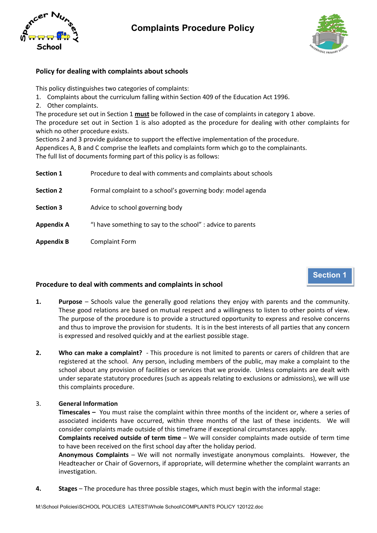

# **Complaints Procedure Policy**



### **Policy for dealing with complaints about schools**

This policy distinguishes two categories of complaints:

- 1. Complaints about the curriculum falling within Section 409 of the Education Act 1996.
- 2. Other complaints.

The procedure set out in Section 1 **must** be followed in the case of complaints in category 1 above.

The procedure set out in Section 1 is also adopted as the procedure for dealing with other complaints for which no other procedure exists.

Sections 2 and 3 provide guidance to support the effective implementation of the procedure. Appendices A, B and C comprise the leaflets and complaints form which go to the complainants. The full list of documents forming part of this policy is as follows:

| <b>Section 1</b>  | Procedure to deal with comments and complaints about schools |
|-------------------|--------------------------------------------------------------|
| <b>Section 2</b>  | Formal complaint to a school's governing body: model agenda  |
| <b>Section 3</b>  | Advice to school governing body                              |
| <b>Appendix A</b> | "I have something to say to the school" : advice to parents  |
|                   |                                                              |

**Appendix B** Complaint Form

## **Section 1**

### **Procedure to deal with comments and complaints in school**

- **1. Purpose**  Schools value the generally good relations they enjoy with parents and the community. These good relations are based on mutual respect and a willingness to listen to other points of view. The purpose of the procedure is to provide a structured opportunity to express and resolve concerns and thus to improve the provision for students. It is in the best interests of all parties that any concern is expressed and resolved quickly and at the earliest possible stage.
- **2. Who can make a complaint?**  This procedure is not limited to parents or carers of children that are registered at the school. Any person, including members of the public, may make a complaint to the school about any provision of facilities or services that we provide. Unless complaints are dealt with under separate statutory procedures (such as appeals relating to exclusions or admissions), we will use this complaints procedure.

### 3. **General Information**

**Timescales –** You must raise the complaint within three months of the incident or, where a series of associated incidents have occurred, within three months of the last of these incidents. We will consider complaints made outside of this timeframe if exceptional circumstances apply.

**Complaints received outside of term time** – We will consider complaints made outside of term time to have been received on the first school day after the holiday period.

**Anonymous Complaints** – We will not normally investigate anonymous complaints. However, the Headteacher or Chair of Governors, if appropriate, will determine whether the complaint warrants an investigation.

**4. Stages** – The procedure has three possible stages, which must begin with the informal stage: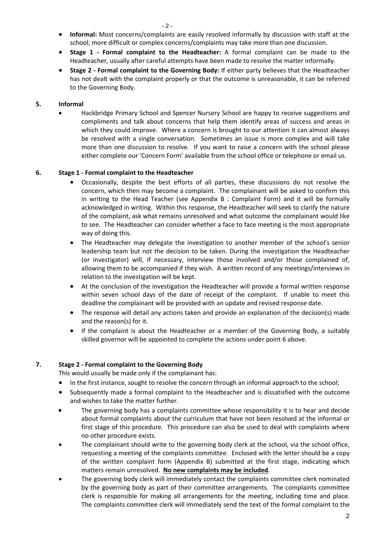- **Informal:** Most concerns/complaints are easily resolved informally by discussion with staff at the school; more difficult or complex concerns/complaints may take more than one discussion.
- **Stage 1 - Formal complaint to the Headteacher:** A formal complaint can be made to the Headteacher, usually after careful attempts have been made to resolve the matter informally.
- **Stage 2 - Formal complaint to the Governing Body:** If either party believes that the Headteacher has not dealt with the complaint properly or that the outcome is unreasonable, it can be referred to the Governing Body.

### **5. Informal**

• Hackbridge Primary School and Spencer Nursery School are happy to receive suggestions and compliments and talk about concerns that help them identify areas of success and areas in which they could improve. Where a concern is brought to our attention it can almost always be resolved with a single conversation. Sometimes an issue is more complex and will take more than one discussion to resolve. If you want to raise a concern with the school please either complete our 'Concern Form' available from the school office or telephone or email us.

### **6. Stage 1 - Formal complaint to the Headteacher**

- Occasionally, despite the best efforts of all parties, these discussions do not resolve the concern, which then may become a complaint. The complainant will be asked to confirm this in writing to the Head Teacher (see Appendix B : Complaint Form) and it will be formally acknowledged in writing. Within this response, the Headteacher will seek to clarify the nature of the complaint, ask what remains unresolved and what outcome the complainant would like to see. The Headteacher can consider whether a face to face meeting is the most appropriate way of doing this.
- The Headteacher may delegate the investigation to another member of the school's senior leadership team but not the decision to be taken. During the investigation the Headteacher (or investigator) will, if necessary, interview those involved and/or those complained of, allowing them to be accompanied if they wish. A written record of any meetings/interviews in relation to the investigation will be kept.
- At the conclusion of the investigation the Headteacher will provide a formal written response within seven school days of the date of receipt of the complaint. If unable to meet this deadline the complainant will be provided with an update and revised response date.
- The response will detail any actions taken and provide an explanation of the decision(s) made and the reason(s) for it.
- If the complaint is about the Headteacher or a member of the Governing Body, a suitably skilled governor will be appointed to complete the actions under point 6 above.

### **7. Stage 2 - Formal complaint to the Governing Body**

This would usually be made only if the complainant has:

- In the first instance, sought to resolve the concern through an informal approach to the school;
- Subsequently made a formal complaint to the Headteacher and is dissatisfied with the outcome and wishes to take the matter further.
- The governing body has a complaints committee whose responsibility it is to hear and decide about formal complaints about the curriculum that have not been resolved at the informal or first stage of this procedure. This procedure can also be used to deal with complaints where no other procedure exists.
- The complainant should write to the governing body clerk at the school, via the school office, requesting a meeting of the complaints committee. Enclosed with the letter should be a copy of the written complaint form (Appendix B) submitted at the first stage, indicating which matters remain unresolved. **No new complaints may be included**.
- The governing body clerk will immediately contact the complaints committee clerk nominated by the governing body as part of their committee arrangements. The complaints committee clerk is responsible for making all arrangements for the meeting, including time and place. The complaints committee clerk will immediately send the text of the formal complaint to the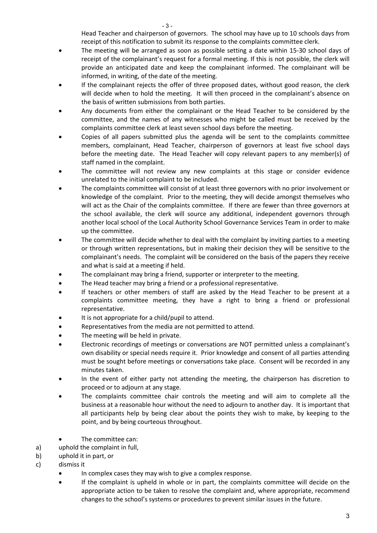Head Teacher and chairperson of governors. The school may have up to 10 schools days from receipt of this notification to submit its response to the complaints committee clerk.

- The meeting will be arranged as soon as possible setting a date within 15-30 school days of receipt of the complainant's request for a formal meeting. If this is not possible, the clerk will provide an anticipated date and keep the complainant informed. The complainant will be informed, in writing, of the date of the meeting.
- If the complainant rejects the offer of three proposed dates, without good reason, the clerk will decide when to hold the meeting. It will then proceed in the complainant's absence on the basis of written submissions from both parties.
- Any documents from either the complainant or the Head Teacher to be considered by the committee, and the names of any witnesses who might be called must be received by the complaints committee clerk at least seven school days before the meeting.
- Copies of all papers submitted plus the agenda will be sent to the complaints committee members, complainant, Head Teacher, chairperson of governors at least five school days before the meeting date. The Head Teacher will copy relevant papers to any member(s) of staff named in the complaint.
- The committee will not review any new complaints at this stage or consider evidence unrelated to the initial complaint to be included.
- The complaints committee will consist of at least three governors with no prior involvement or knowledge of the complaint. Prior to the meeting, they will decide amongst themselves who will act as the Chair of the complaints committee. If there are fewer than three governors at the school available, the clerk will source any additional, independent governors through another local school of the Local Authority School Governance Services Team in order to make up the committee.
- The committee will decide whether to deal with the complaint by inviting parties to a meeting or through written representations, but in making their decision they will be sensitive to the complainant's needs. The complaint will be considered on the basis of the papers they receive and what is said at a meeting if held.
- The complainant may bring a friend, supporter or interpreter to the meeting.
- The Head teacher may bring a friend or a professional representative.
- If teachers or other members of staff are asked by the Head Teacher to be present at a complaints committee meeting, they have a right to bring a friend or professional representative.
- It is not appropriate for a child/pupil to attend.
- Representatives from the media are not permitted to attend.
- The meeting will be held in private.
- Electronic recordings of meetings or conversations are NOT permitted unless a complainant's own disability or special needs require it. Prior knowledge and consent of all parties attending must be sought before meetings or conversations take place. Consent will be recorded in any minutes taken.
- In the event of either party not attending the meeting, the chairperson has discretion to proceed or to adjourn at any stage.
- The complaints committee chair controls the meeting and will aim to complete all the business at a reasonable hour without the need to adjourn to another day. It is important that all participants help by being clear about the points they wish to make, by keeping to the point, and by being courteous throughout.
- The committee can:
- a) uphold the complaint in full,
- b) uphold it in part, or
- c) dismiss it
	- In complex cases they may wish to give a complex response.
	- If the complaint is upheld in whole or in part, the complaints committee will decide on the appropriate action to be taken to resolve the complaint and, where appropriate, recommend changes to the school's systems or procedures to prevent similar issues in the future.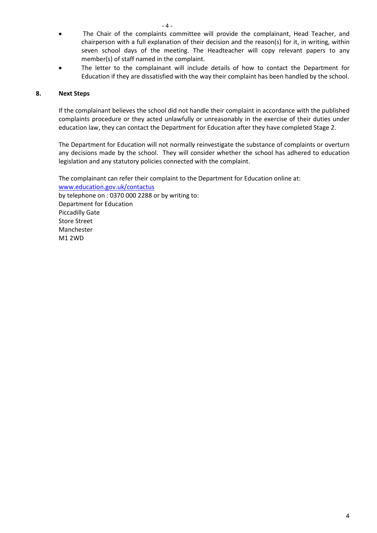- The Chair of the complaints committee will provide the complainant, Head Teacher, and chairperson with a full explanation of their decision and the reason(s) for it, in writing, within seven school days of the meeting. The Headteacher will copy relevant papers to any member(s) of staff named in the complaint.
- The letter to the complainant will include details of how to contact the Department for Education if they are dissatisfied with the way their complaint has been handled by the school.

### **8. Next Steps**

If the complainant believes the school did not handle their complaint in accordance with the published complaints procedure or they acted unlawfully or unreasonably in the exercise of their duties under education law, they can contact the Department for Education after they have completed Stage 2.

The Department for Education will not normally reinvestigate the substance of complaints or overturn any decisions made by the school. They will consider whether the school has adhered to education legislation and any statutory policies connected with the complaint.

The complainant can refer their complaint to the Department for Education online at: [www.education.gov.uk/contactus](http://www.education.gov.uk/contactus) by telephone on : 0370 000 2288 or by writing to: Department for Education Piccadilly Gate Store Street Manchester M1 2WD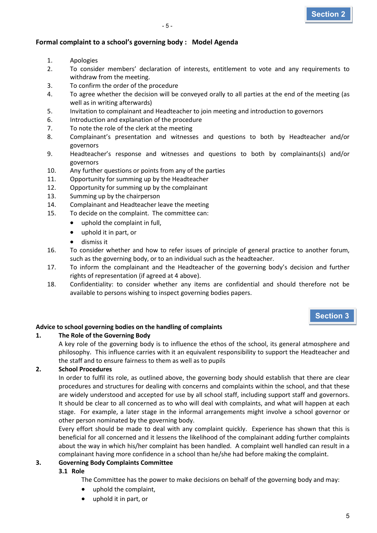### **Formal complaint to a school's governing body : Model Agenda**

- 1. Apologies
- 2. To consider members' declaration of interests, entitlement to vote and any requirements to withdraw from the meeting.
- 3. To confirm the order of the procedure
- 4. To agree whether the decision will be conveyed orally to all parties at the end of the meeting (as well as in writing afterwards)
- 5. Invitation to complainant and Headteacher to join meeting and introduction to governors
- 6. Introduction and explanation of the procedure
- 7. To note the role of the clerk at the meeting
- 8. Complainant's presentation and witnesses and questions to both by Headteacher and/or governors
- 9. Headteacher's response and witnesses and questions to both by complainants(s) and/or governors
- 10. Any further questions or points from any of the parties
- 11. Opportunity for summing up by the Headteacher
- 12. Opportunity for summing up by the complainant
- 13. Summing up by the chairperson
- 14. Complainant and Headteacher leave the meeting
- 15. To decide on the complaint. The committee can:
	- uphold the complaint in full,
	- uphold it in part, or
	- dismiss it
- 16. To consider whether and how to refer issues of principle of general practice to another forum, such as the governing body, or to an individual such as the headteacher.
- 17. To inform the complainant and the Headteacher of the governing body's decision and further rights of representation (if agreed at 4 above).
- 18. Confidentiality: to consider whether any items are confidential and should therefore not be available to persons wishing to inspect governing bodies papers.

### **Section 3**

### **Advice to school governing bodies on the handling of complaints**

### **1. The Role of the Governing Body**

A key role of the governing body is to influence the ethos of the school, its general atmosphere and philosophy. This influence carries with it an equivalent responsibility to support the Headteacher and the staff and to ensure fairness to them as well as to pupils

### **2. School Procedures**

In order to fulfil its role, as outlined above, the governing body should establish that there are clear procedures and structures for dealing with concerns and complaints within the school, and that these are widely understood and accepted for use by all school staff, including support staff and governors. It should be clear to all concerned as to who will deal with complaints, and what will happen at each stage. For example, a later stage in the informal arrangements might involve a school governor or other person nominated by the governing body.

Every effort should be made to deal with any complaint quickly. Experience has shown that this is beneficial for all concerned and it lessens the likelihood of the complainant adding further complaints about the way in which his/her complaint has been handled. A complaint well handled can result in a complainant having more confidence in a school than he/she had before making the complaint.

### **3. Governing Body Complaints Committee**

### **3.1 Role**

The Committee has the power to make decisions on behalf of the governing body and may:

- uphold the complaint,
- uphold it in part, or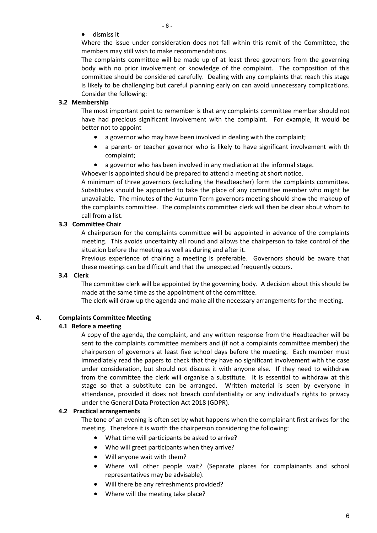• dismiss it

Where the issue under consideration does not fall within this remit of the Committee, the members may still wish to make recommendations.

The complaints committee will be made up of at least three governors from the governing body with no prior involvement or knowledge of the complaint. The composition of this committee should be considered carefully. Dealing with any complaints that reach this stage is likely to be challenging but careful planning early on can avoid unnecessary complications. Consider the following:

### **3.2 Membership**

The most important point to remember is that any complaints committee member should not have had precious significant involvement with the complaint. For example, it would be better not to appoint

- a governor who may have been involved in dealing with the complaint;
- a parent- or teacher governor who is likely to have significant involvement with th complaint;
- a governor who has been involved in any mediation at the informal stage.

Whoever is appointed should be prepared to attend a meeting at short notice.

A minimum of three governors (excluding the Headteacher) form the complaints committee. Substitutes should be appointed to take the place of any committee member who might be unavailable. The minutes of the Autumn Term governors meeting should show the makeup of the complaints committee. The complaints committee clerk will then be clear about whom to call from a list.

### **3.3 Committee Chair**

A chairperson for the complaints committee will be appointed in advance of the complaints meeting. This avoids uncertainty all round and allows the chairperson to take control of the situation before the meeting as well as during and after it.

Previous experience of chairing a meeting is preferable. Governors should be aware that these meetings can be difficult and that the unexpected frequently occurs.

### **3.4 Clerk**

The committee clerk will be appointed by the governing body. A decision about this should be made at the same time as the appointment of the committee.

The clerk will draw up the agenda and make all the necessary arrangements for the meeting.

### **4. Complaints Committee Meeting**

### **4.1 Before a meeting**

A copy of the agenda, the complaint, and any written response from the Headteacher will be sent to the complaints committee members and (if not a complaints committee member) the chairperson of governors at least five school days before the meeting. Each member must immediately read the papers to check that they have no significant involvement with the case under consideration, but should not discuss it with anyone else. If they need to withdraw from the committee the clerk will organise a substitute. It is essential to withdraw at this stage so that a substitute can be arranged. Written material is seen by everyone in attendance, provided it does not breach confidentiality or any individual's rights to privacy under the General Data Protection Act 2018 (GDPR).

### **4.2 Practical arrangements**

The tone of an evening is often set by what happens when the complainant first arrives for the meeting. Therefore it is worth the chairperson considering the following:

- What time will participants be asked to arrive?
- Who will greet participants when they arrive?
- Will anyone wait with them?
- Where will other people wait? (Separate places for complainants and school representatives may be advisable).
- Will there be any refreshments provided?
- Where will the meeting take place?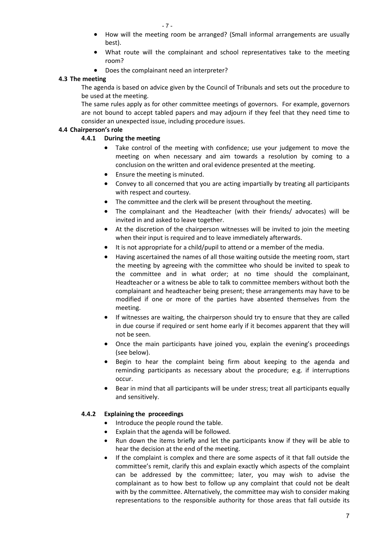- How will the meeting room be arranged? (Small informal arrangements are usually best).
- What route will the complainant and school representatives take to the meeting room?
- Does the complainant need an interpreter?

### **4.3 The meeting**

The agenda is based on advice given by the Council of Tribunals and sets out the procedure to be used at the meeting.

The same rules apply as for other committee meetings of governors. For example, governors are not bound to accept tabled papers and may adjourn if they feel that they need time to consider an unexpected issue, including procedure issues.

### **4.4 Chairperson's role**

### **4.4.1 During the meeting**

- Take control of the meeting with confidence; use your judgement to move the meeting on when necessary and aim towards a resolution by coming to a conclusion on the written and oral evidence presented at the meeting.
- Ensure the meeting is minuted.
- Convey to all concerned that you are acting impartially by treating all participants with respect and courtesy.
- The committee and the clerk will be present throughout the meeting.
- The complainant and the Headteacher (with their friends/ advocates) will be invited in and asked to leave together.
- At the discretion of the chairperson witnesses will be invited to join the meeting when their input is required and to leave immediately afterwards.
- It is not appropriate for a child/pupil to attend or a member of the media.
- Having ascertained the names of all those waiting outside the meeting room, start the meeting by agreeing with the committee who should be invited to speak to the committee and in what order; at no time should the complainant, Headteacher or a witness be able to talk to committee members without both the complainant and headteacher being present; these arrangements may have to be modified if one or more of the parties have absented themselves from the meeting.
- If witnesses are waiting, the chairperson should try to ensure that they are called in due course if required or sent home early if it becomes apparent that they will not be seen.
- Once the main participants have joined you, explain the evening's proceedings (see below).
- Begin to hear the complaint being firm about keeping to the agenda and reminding participants as necessary about the procedure; e.g. if interruptions occur.
- Bear in mind that all participants will be under stress; treat all participants equally and sensitively.

### **4.4.2 Explaining the proceedings**

- Introduce the people round the table.
- Explain that the agenda will be followed.
- Run down the items briefly and let the participants know if they will be able to hear the decision at the end of the meeting.
- If the complaint is complex and there are some aspects of it that fall outside the committee's remit, clarify this and explain exactly which aspects of the complaint can be addressed by the committee; later, you may wish to advise the complainant as to how best to follow up any complaint that could not be dealt with by the committee. Alternatively, the committee may wish to consider making representations to the responsible authority for those areas that fall outside its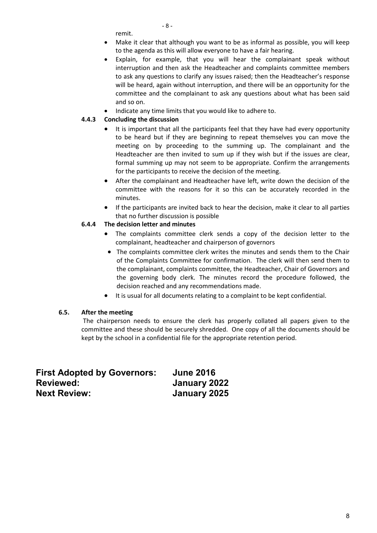- 8 -

remit.

- Make it clear that although you want to be as informal as possible, you will keep to the agenda as this will allow everyone to have a fair hearing.
- Explain, for example, that you will hear the complainant speak without interruption and then ask the Headteacher and complaints committee members to ask any questions to clarify any issues raised; then the Headteacher's response will be heard, again without interruption, and there will be an opportunity for the committee and the complainant to ask any questions about what has been said and so on.
- Indicate any time limits that you would like to adhere to.

### **4.4.3 Concluding the discussion**

- It is important that all the participants feel that they have had every opportunity to be heard but if they are beginning to repeat themselves you can move the meeting on by proceeding to the summing up. The complainant and the Headteacher are then invited to sum up if they wish but if the issues are clear, formal summing up may not seem to be appropriate. Confirm the arrangements for the participants to receive the decision of the meeting.
- After the complainant and Headteacher have left, write down the decision of the committee with the reasons for it so this can be accurately recorded in the minutes.
- If the participants are invited back to hear the decision, make it clear to all parties that no further discussion is possible

### **6.4.4 The decision letter and minutes**

- The complaints committee clerk sends a copy of the decision letter to the complainant, headteacher and chairperson of governors
- The complaints committee clerk writes the minutes and sends them to the Chair of the Complaints Committee for confirmation. The clerk will then send them to the complainant, complaints committee, the Headteacher, Chair of Governors and the governing body clerk. The minutes record the procedure followed, the decision reached and any recommendations made.
- It is usual for all documents relating to a complaint to be kept confidential.

### **6.5. After the meeting**

The chairperson needs to ensure the clerk has properly collated all papers given to the committee and these should be securely shredded. One copy of all the documents should be kept by the school in a confidential file for the appropriate retention period.

| <b>First Adopted by Governors:</b> | <b>June 2016</b> |
|------------------------------------|------------------|
| <b>Reviewed:</b>                   | January 2022     |
| <b>Next Review:</b>                | January 2025     |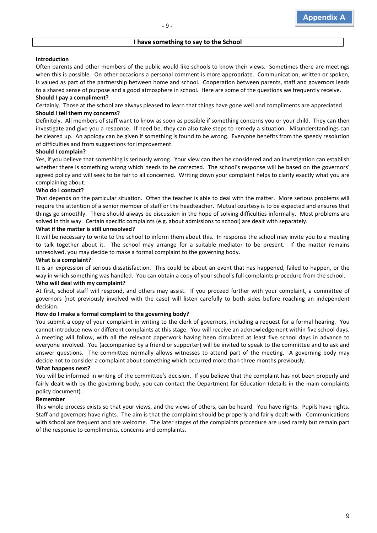#### **I have something to say to the School**

#### **Introduction**

Often parents and other members of the public would like schools to know their views. Sometimes there are meetings when this is possible. On other occasions a personal comment is more appropriate. Communication, written or spoken, is valued as part of the partnership between home and school. Cooperation between parents, staff and governors leads to a shared sense of purpose and a good atmosphere in school. Here are some of the questions we frequently receive.

#### **Should I pay a compliment?**

Certainly. Those at the school are always pleased to learn that things have gone well and compliments are appreciated.

#### **Should I tell them my concerns?**

Definitely. All members of staff want to know as soon as possible if something concerns you or your child. They can then investigate and give you a response. If need be, they can also take steps to remedy a situation. Misunderstandings can be cleared up. An apology can be given if something is found to be wrong. Everyone benefits from the speedy resolution of difficulties and from suggestions for improvement.

#### **Should I complain?**

Yes, if you believe that something is seriously wrong. Your view can then be considered and an investigation can establish whether there is something wrong which needs to be corrected. The school's response will be based on the governors' agreed policy and will seek to be fair to all concerned. Writing down your complaint helps to clarify exactly what you are complaining about.

#### **Who do I contact?**

That depends on the particular situation. Often the teacher is able to deal with the matter. More serious problems will require the attention of a senior member of staff or the headteacher. Mutual courtesy is to be expected and ensures that things go smoothly. There should always be discussion in the hope of solving difficulties informally. Most problems are solved in this way. Certain specific complaints (e.g. about admissions to school) are dealt with separately.

#### **What if the matter is still unresolved?**

It will be necessary to write to the school to inform them about this. In response the school may invite you to a meeting to talk together about it. The school may arrange for a suitable mediator to be present. If the matter remains unresolved, you may decide to make a formal complaint to the governing body.

#### **What is a complaint?**

It is an expression of serious dissatisfaction. This could be about an event that has happened, failed to happen, or the way in which something was handled. You can obtain a copy of your school's full complaints procedure from the school.

#### **Who will deal with my complaint?**

At first, school staff will respond, and others may assist. If you proceed further with your complaint, a committee of governors (not previously involved with the case) will listen carefully to both sides before reaching an independent decision.

#### **How do I make a formal complaint to the governing body?**

You submit a copy of your complaint in writing to the clerk of governors, including a request for a formal hearing. You cannot introduce new or different complaints at this stage. You will receive an acknowledgement within five school days. A meeting will follow, with all the relevant paperwork having been circulated at least five school days in advance to everyone involved. You (accompanied by a friend or supporter) will be invited to speak to the committee and to ask and answer questions. The committee normally allows witnesses to attend part of the meeting. A governing body may decide not to consider a complaint about something which occurred more than three months previously.

#### **What happens next?**

You will be informed in writing of the committee's decision. If you believe that the complaint has not been properly and fairly dealt with by the governing body, you can contact the Department for Education (details in the main complaints policy document).

#### **Remember**

This whole process exists so that your views, and the views of others, can be heard. You have rights. Pupils have rights. Staff and governors have rights. The aim is that the complaint should be properly and fairly dealt with. Communications with school are frequent and are welcome. The later stages of the complaints procedure are used rarely but remain part of the response to compliments, concerns and complaints.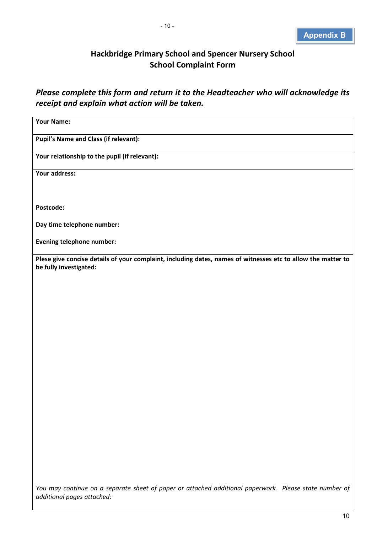# **Hackbridge Primary School and Spencer Nursery School School Complaint Form**

*Please complete this form and return it to the Headteacher who will acknowledge its receipt and explain what action will be taken.*

| <b>Your Name:</b>                                                                                                                      |
|----------------------------------------------------------------------------------------------------------------------------------------|
| <b>Pupil's Name and Class (if relevant):</b>                                                                                           |
| Your relationship to the pupil (if relevant):                                                                                          |
| Your address:                                                                                                                          |
|                                                                                                                                        |
| Postcode:                                                                                                                              |
| Day time telephone number:                                                                                                             |
| Evening telephone number:                                                                                                              |
| Plese give concise details of your complaint, including dates, names of witnesses etc to allow the matter to<br>be fully investigated: |
|                                                                                                                                        |
|                                                                                                                                        |
|                                                                                                                                        |
|                                                                                                                                        |
|                                                                                                                                        |
|                                                                                                                                        |
|                                                                                                                                        |
|                                                                                                                                        |
|                                                                                                                                        |
|                                                                                                                                        |
|                                                                                                                                        |
|                                                                                                                                        |
|                                                                                                                                        |
| You may continue on a separate sheet of paper or attached additional paperwork. Please state number of                                 |

*additional pages attached:*

10